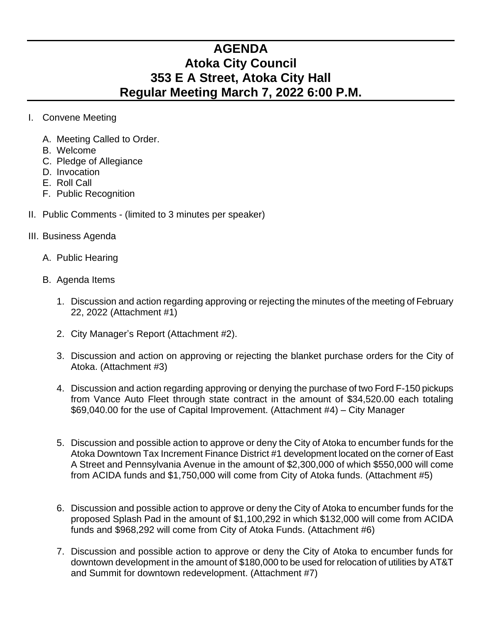## **AGENDA Atoka City Council 353 E A Street, Atoka City Hall Regular Meeting March 7, 2022 6:00 P.M.**

- I. Convene Meeting
	- A. Meeting Called to Order.
	- B. Welcome
	- C. Pledge of Allegiance
	- D. Invocation
	- E. Roll Call
	- F. Public Recognition
- II. Public Comments (limited to 3 minutes per speaker)
- III. Business Agenda
	- A. Public Hearing
	- B. Agenda Items
		- 1. Discussion and action regarding approving or rejecting the minutes of the meeting of February 22, 2022 (Attachment #1)
		- 2. City Manager's Report (Attachment #2).
		- 3. Discussion and action on approving or rejecting the blanket purchase orders for the City of Atoka. (Attachment #3)
		- 4. Discussion and action regarding approving or denying the purchase of two Ford F-150 pickups from Vance Auto Fleet through state contract in the amount of \$34,520.00 each totaling \$69,040.00 for the use of Capital Improvement. (Attachment #4) – City Manager
		- 5. Discussion and possible action to approve or deny the City of Atoka to encumber funds for the Atoka Downtown Tax Increment Finance District #1 development located on the corner of East A Street and Pennsylvania Avenue in the amount of \$2,300,000 of which \$550,000 will come from ACIDA funds and \$1,750,000 will come from City of Atoka funds. (Attachment #5)
		- 6. Discussion and possible action to approve or deny the City of Atoka to encumber funds for the proposed Splash Pad in the amount of \$1,100,292 in which \$132,000 will come from ACIDA funds and \$968,292 will come from City of Atoka Funds. (Attachment #6)
		- 7. Discussion and possible action to approve or deny the City of Atoka to encumber funds for downtown development in the amount of \$180,000 to be used for relocation of utilities by AT&T and Summit for downtown redevelopment. (Attachment #7)